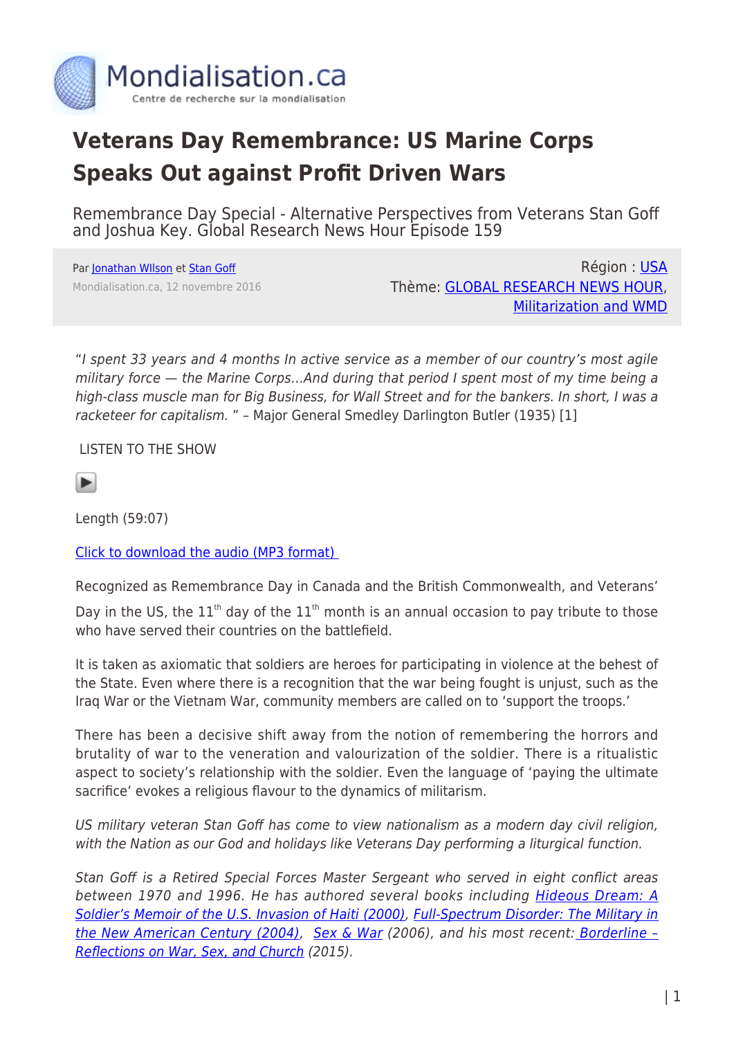

## **Veterans Day Remembrance: US Marine Corps Speaks Out against Profit Driven Wars**

Remembrance Day Special - Alternative Perspectives from Veterans Stan Goff and Joshua Key. Global Research News Hour Episode 159

Par [Jonathan WIlson](https://www.mondialisation.ca/author/jonathan-wilson) et [Stan Goff](https://www.mondialisation.ca/author/stan-goff) Mondialisation.ca, 12 novembre 2016

Région : [USA](https://www.mondialisation.ca/region/usa) Thème: [GLOBAL RESEARCH NEWS HOUR](https://www.mondialisation.ca/theme/global-research-news-hour), [Militarization and WMD](https://www.mondialisation.ca/theme/militarization-and-wmd)

"I spent 33 years and 4 months In active service as a member of our country's most agile military force — the Marine Corps…And during that period I spent most of my time being a high-class muscle man for Big Business, for Wall Street and for the bankers. In short, I was a racketeer for capitalism. " – Major General Smedley Darlington Butler (1935) [1]

LISTEN TO THE SHOW



Length (59:07)

[Click to download the audio \(MP3 format\)](http://radio4all.net/responder.php/download/89343/98313/110079/?url=http://www.radio4all.net/files/scottprice666@hotmail.com/4319-1-GRNH_NOV_11_episode_159_mixdown.mp3) 

Recognized as Remembrance Day in Canada and the British Commonwealth, and Veterans' Day in the US, the  $11<sup>th</sup>$  day of the  $11<sup>th</sup>$  month is an annual occasion to pay tribute to those who have served their countries on the battlefield

It is taken as axiomatic that soldiers are heroes for participating in violence at the behest of the State. Even where there is a recognition that the war being fought is unjust, such as the Iraq War or the Vietnam War, community members are called on to 'support the troops.'

There has been a decisive shift away from the notion of remembering the horrors and brutality of war to the veneration and valourization of the soldier. There is a ritualistic aspect to society's relationship with the soldier. Even the language of 'paying the ultimate sacrifice' evokes a religious flavour to the dynamics of militarism.

US military veteran Stan Goff has come to view nationalism as a modern day civil religion, with the Nation as our God and holidays like Veterans Day performing a liturgical function.

Stan Goff is a Retired Special Forces Master Sergeant who served in eight conflict areas between 1970 and 1996. He has authored several books including [Hideous Dream: A](https://www.amazon.ca/Hideous-Dream-Soldiers-Invasion-2000-10-01/dp/B01F81VUC2/ref=sr_1_1?s=books&ie=UTF8&qid=1478961490&sr=1-1&keywords=Hideous+Dream) [Soldier's Memoir of the U.S. Invasion of Haiti \(2000\),](https://www.amazon.ca/Hideous-Dream-Soldiers-Invasion-2000-10-01/dp/B01F81VUC2/ref=sr_1_1?s=books&ie=UTF8&qid=1478961490&sr=1-1&keywords=Hideous+Dream) [Full-Spectrum Disorder: The Military in](https://www.amazon.ca/Full-Spectrum-Disorder-Military-2004-02-02/dp/B01FIY4SV4/ref=sr_1_1?s=books&ie=UTF8&qid=1478961604&sr=1-1&keywords=Full-Spectrum+Disorder%3A+The+Military+in+the+New+American+Century+%282004%29) [the New American Century \(2004\)](https://www.amazon.ca/Full-Spectrum-Disorder-Military-2004-02-02/dp/B01FIY4SV4/ref=sr_1_1?s=books&ie=UTF8&qid=1478961604&sr=1-1&keywords=Full-Spectrum+Disorder%3A+The+Military+in+the+New+American+Century+%282004%29), [Sex & War](https://www.amazon.ca/Sex-War-Stan-Goff/dp/1411643801/ref=sr_1_26?s=books&ie=UTF8&qid=1478961716&sr=1-26&keywords=Sex+%26+War) (2006), and his most recent: Borderline -[Reflections on War, Sex, and Church](https://www.amazon.ca/Borderline-Reflections-War-Sex-Church/dp/162564485X/ref=sr_1_1?s=books&ie=UTF8&qid=1478961767&sr=1-1&keywords=Borderline+-+Reflections+on+War%2C+Sex%2C+and+Church) (2015).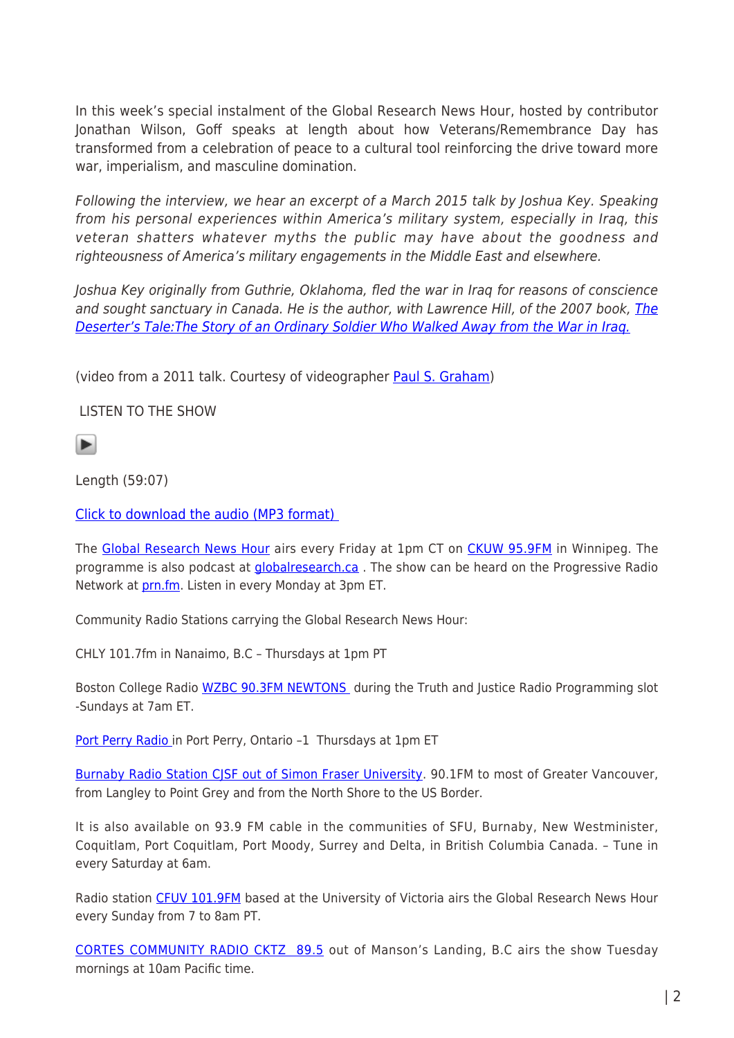In this week's special instalment of the Global Research News Hour, hosted by contributor Jonathan Wilson, Goff speaks at length about how Veterans/Remembrance Day has transformed from a celebration of peace to a cultural tool reinforcing the drive toward more war, imperialism, and masculine domination.

Following the interview, we hear an excerpt of a March 2015 talk by Joshua Key. Speaking from his personal experiences within America's military system, especially in Iraq, this veteran shatters whatever myths the public may have about the goodness and righteousness of America's military engagements in the Middle East and elsewhere.

Joshua Key originally from Guthrie, Oklahoma, fled the war in Iraq for reasons of conscience and sought sanctuary in Canada. He is the author, with Lawrence Hill, of the 2007 book, [The](https://www.amazon.ca/Deserters-Tale-Ordinary-Soldier-Walked/dp/0802143458) [Deserter's Tale:The Story of an Ordinary Soldier Who Walked Away from the War in Iraq.](https://www.amazon.ca/Deserters-Tale-Ordinary-Soldier-Walked/dp/0802143458)

(video from a 2011 talk. Courtesy of videographer [Paul S. Graham](https://www.youtube.com/channel/UC6lbaLx3WPEAnC8NrBeASHw))

LISTEN TO THE SHOW

ь

Length (59:07)

[Click to download the audio \(MP3 format\)](http://radio4all.net/responder.php/download/89343/98313/110079/?url=http://www.radio4all.net/files/scottprice666@hotmail.com/4319-1-GRNH_NOV_11_episode_159_mixdown.mp3) 

The [Global Research News Hour](http://www.globalresearch.ca/theme/global-research-news-hour) airs every Friday at 1pm CT on [CKUW 95.9FM](http://ckuw.ca/) in Winnipeg. The programme is also podcast at *[globalresearch.ca](http://globalresearch.ca/)*. The show can be heard on the Progressive Radio Network at **prn.fm.** Listen in every Monday at 3pm ET.

Community Radio Stations carrying the Global Research News Hour:

CHLY 101.7fm in Nanaimo, B.C – Thursdays at 1pm PT

Boston College Radio [WZBC 90.3FM NEWTONS](http://wzbc.org/#schedule) during the Truth and Justice Radio Programming slot -Sundays at 7am ET.

[Port Perry Radio i](http://portperryradio.com/)n Port Perry, Ontario -1 Thursdays at 1pm ET

[Burnaby Radio Station CJSF out of Simon Fraser University.](http://www.cjsf.ca/pguide/index.php?intday_id=6) 90.1FM to most of Greater Vancouver, from Langley to Point Grey and from the North Shore to the US Border.

It is also available on 93.9 FM cable in the communities of SFU, Burnaby, New Westminister, Coquitlam, Port Coquitlam, Port Moody, Surrey and Delta, in British Columbia Canada. – Tune in every Saturday at 6am.

Radio station [CFUV 101.9FM](http://cfuv.uvic.ca/cms/) based at the University of Victoria airs the Global Research News Hour every Sunday from 7 to 8am PT.

[CORTES COMMUNITY RADIO CKTZ 89.5](http://cortesradio.ca/) out of Manson's Landing, B.C airs the show Tuesday mornings at 10am Pacific time.